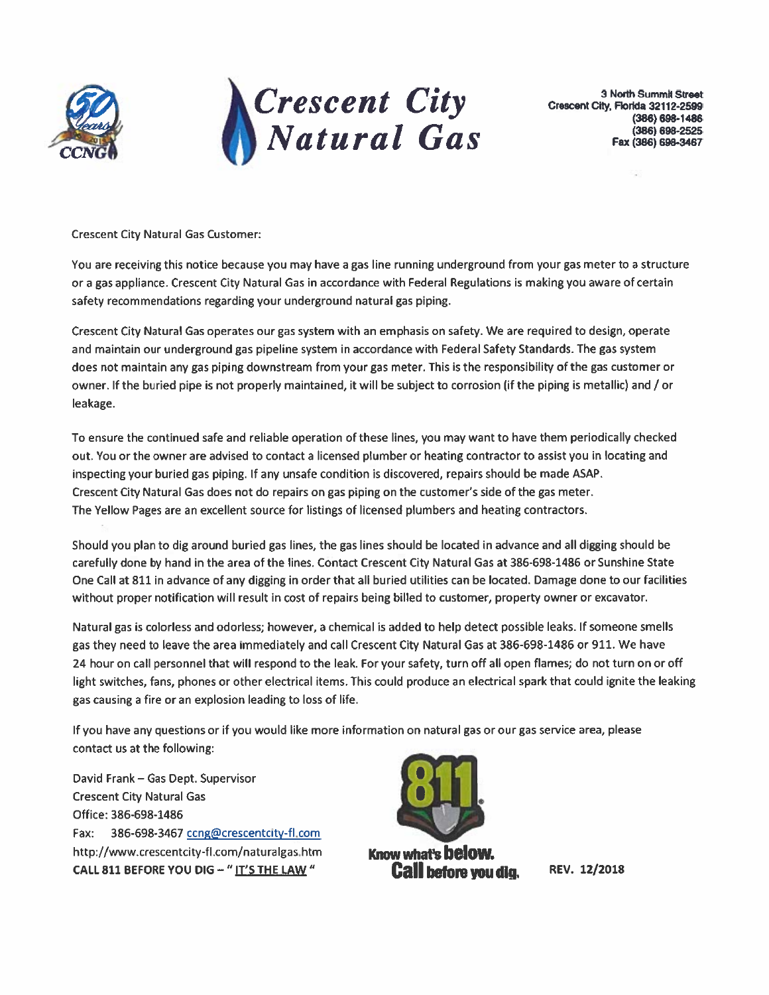



**3 North Summit Street** Crescent City, Florida 32112-2599  $(386) 698 - 1486$ (386) 698-2525 Fax (386) 698-3467

a

**Crescent City Natural Gas Customer:** 

You are receiving this notice because you may have a gas line running underground from your gas meter to a structure or a gas appliance. Crescent City Natural Gas in accordance with Federal Regulations is making you aware of certain safety recommendations regarding your underground natural gas piping.

Crescent City Natural Gas operates our gas system with an emphasis on safety. We are required to design, operate and maintain our underground gas pipeline system in accordance with Federal Safety Standards. The gas system does not maintain any gas piping downstream from your gas meter. This is the responsibility of the gas customer or owner. If the buried pipe is not properly maintained, it will be subject to corrosion (if the piping is metallic) and / or leakage.

To ensure the continued safe and reliable operation of these lines, you may want to have them periodically checked out. You or the owner are advised to contact a licensed plumber or heating contractor to assist you in locating and inspecting your buried gas piping. If any unsafe condition is discovered, repairs should be made ASAP. Crescent City Natural Gas does not do repairs on gas piping on the customer's side of the gas meter. The Yellow Pages are an excellent source for listings of licensed plumbers and heating contractors.

Should you plan to dig around buried gas lines, the gas lines should be located in advance and all digging should be carefully done by hand in the area of the lines. Contact Crescent City Natural Gas at 386-698-1486 or Sunshine State One Call at 811 in advance of any digging in order that all buried utilities can be located. Damage done to our facilities without proper notification will result in cost of repairs being billed to customer, property owner or excavator.

Natural gas is colorless and odorless; however, a chemical is added to help detect possible leaks. If someone smells gas they need to leave the area immediately and call Crescent City Natural Gas at 386-698-1486 or 911. We have 24 hour on call personnel that will respond to the leak. For your safety, turn off all open flames; do not turn on or off light switches, fans, phones or other electrical items. This could produce an electrical spark that could ignite the leaking gas causing a fire or an explosion leading to loss of life.

If you have any questions or if you would like more information on natural gas or our gas service area, please contact us at the following:

David Frank - Gas Dept. Supervisor **Crescent City Natural Gas** Office: 386-698-1486 Fax: 386-698-3467 cong@crescentcity-fl.com http://www.crescentcity-fl.com/naturalgas.htm CALL 811 BEFORE YOU DIG - "IT'S THE LAW "



Know what's **below. Call before you dig.** 

REV. 12/2018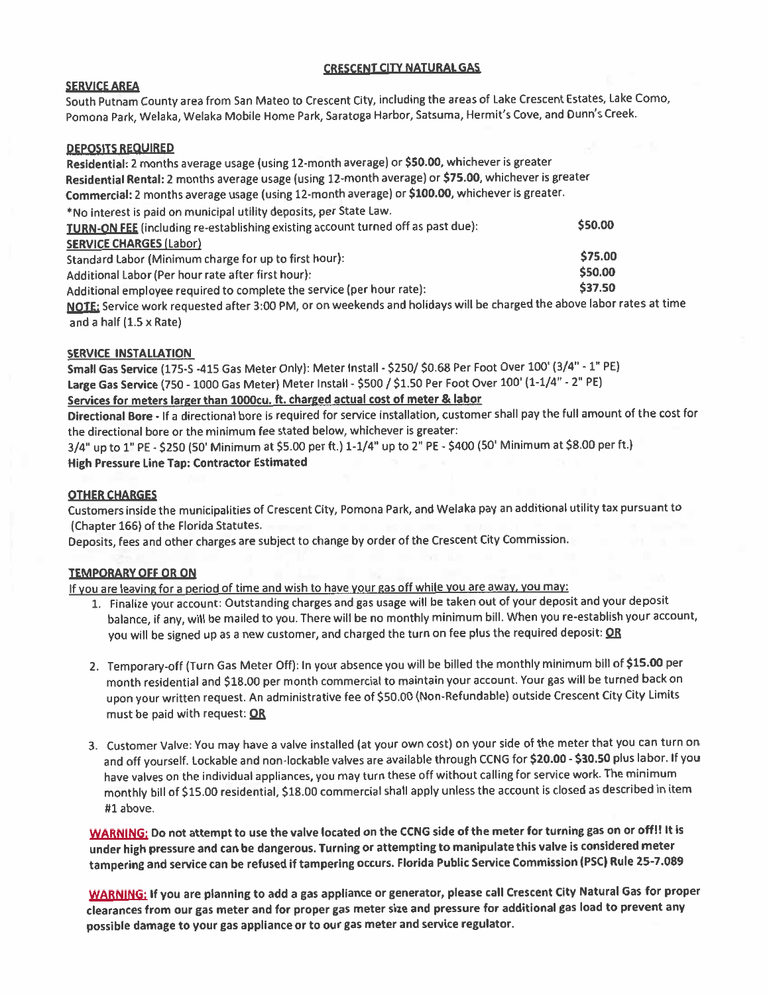## **CRESCENT CITY NATURAL GAS**

## **SERVICE AREA**

South Putnam County area from San Mateo to Crescent City, including the areas of Lake Crescent Estates, Lake Como, Pomona Park, Welaka, Welaka Mobile Home Park, Saratoga Harbor, Satsuma, Hermit's Cove, and Dunn's Creek.

## **DEPOSITS REQUIRED**

Residential: 2 months average usage (using 12-month average) or \$50.00, whichever is greater Residential Rental: 2 months average usage (using 12-month average) or \$75.00, whichever is greater Commercial: 2 months average usage (using 12-month average) or \$100.00, whichever is greater. \*No interest is paid on municipal utility deposits, per State Law. \$50.00 TURN-ON FEE (including re-establishing existing account turned off as past due): **SERVICE CHARGES (Labor)** \$75.00 Standard Labor (Minimum charge for up to first hour): \$50.00 Additional Labor (Per hour rate after first hour): \$37.50 Additional employee required to complete the service (per hour rate): NOTE: Service work requested after 3:00 PM, or on weekends and holidays will be charged the above labor rates at time and a half  $(1.5 \times$  Rate)

## **SERVICE INSTALLATION**

Small Gas Service (175-S -415 Gas Meter Only): Meter Install - \$250/ \$0.68 Per Foot Over 100' (3/4" - 1" PE) Large Gas Service (750 - 1000 Gas Meter) Meter Install - \$500 / \$1.50 Per Foot Over 100' (1-1/4" - 2" PE) Services for meters larger than 1000cu. ft. charged actual cost of meter & labor

Directional Bore - If a directional bore is required for service installation, customer shall pay the full amount of the cost for the directional bore or the minimum fee stated below, whichever is greater:

3/4" up to 1" PE - \$250 (50' Minimum at \$5.00 per ft.) 1-1/4" up to 2" PE - \$400 (50' Minimum at \$8.00 per ft.) **High Pressure Line Tap: Contractor Estimated** 

## **OTHER CHARGES**

Customers inside the municipalities of Crescent City, Pomona Park, and Welaka pay an additional utility tax pursuant to (Chapter 166) of the Florida Statutes.

Deposits, fees and other charges are subject to change by order of the Crescent City Commission.

#### **TEMPORARY OFF OR ON**

If you are leaving for a period of time and wish to have your gas off while you are away, you may:

- 1. Finalize your account: Outstanding charges and gas usage will be taken out of your deposit and your deposit balance, if any, will be mailed to you. There will be no monthly minimum bill. When you re-establish your account, you will be signed up as a new customer, and charged the turn on fee plus the required deposit: OR
- 2. Temporary-off (Turn Gas Meter Off): In your absence you will be billed the monthly minimum bill of \$15.00 per month residential and \$18.00 per month commercial to maintain your account. Your gas will be turned back on upon your written request. An administrative fee of \$50.00 (Non-Refundable) outside Crescent City City Limits must be paid with request: OR
- 3. Customer Valve: You may have a valve installed (at your own cost) on your side of the meter that you can turn on and off yourself. Lockable and non-lockable valves are available through CCNG for \$20.00 - \$30.50 plus labor. If you have valves on the individual appliances, you may turn these off without calling for service work. The minimum monthly bill of \$15.00 residential, \$18.00 commercial shall apply unless the account is closed as described in item #1 above.

WARNING: Do not attempt to use the valve located on the CCNG side of the meter for turning gas on or off!! It is under high pressure and can be dangerous. Turning or attempting to manipulate this valve is considered meter tampering and service can be refused if tampering occurs. Florida Public Service Commission (PSC) Rule 25-7.089

WARNING: If you are planning to add a gas appliance or generator, please call Crescent City Natural Gas for proper clearances from our gas meter and for proper gas meter size and pressure for additional gas load to prevent any possible damage to your gas appliance or to our gas meter and service regulator.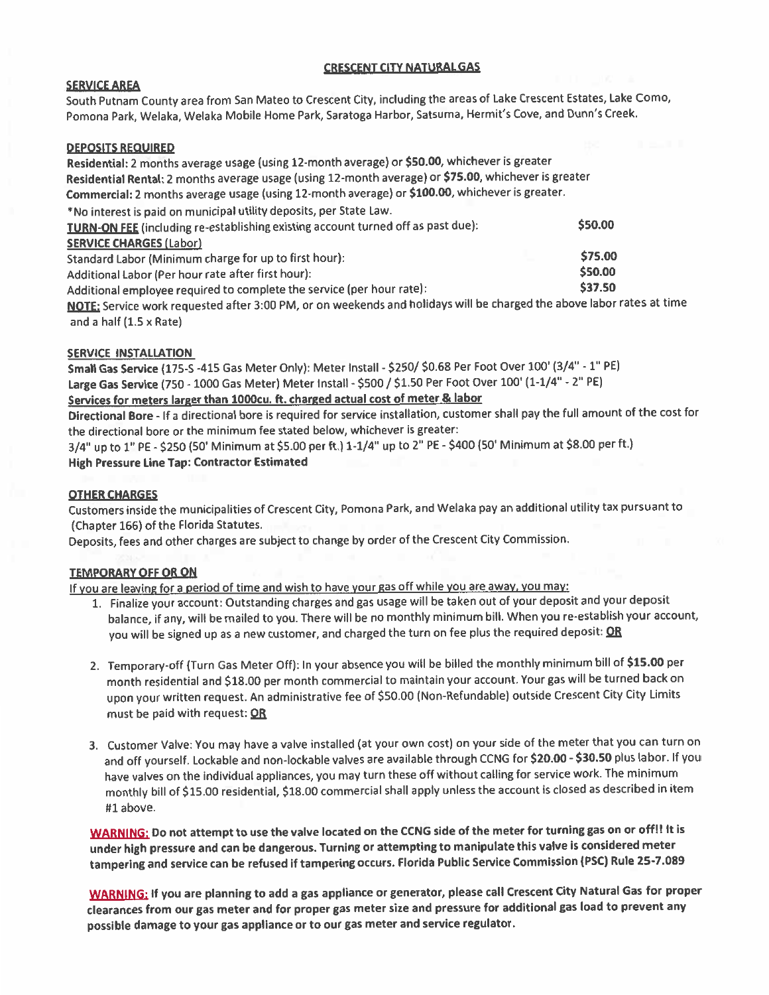## **CRESCENT CITY NATURAL GAS**

## **SERVICE AREA**

South Putnam County area from San Mateo to Crescent City, including the areas of Lake Crescent Estates, Lake Como, Pomona Park, Welaka, Welaka Mobile Home Park, Saratoga Harbor, Satsuma, Hermit's Cove, and Dunn's Creek.

## **DEPOSITS REQUIRED**

Residential: 2 months average usage (using 12-month average) or \$50.00, whichever is greater Residential Rental: 2 months average usage (using 12-month average) or \$75.00, whichever is greater Commercial: 2 months average usage (using 12-month average) or \$100.00, whichever is greater. \*No interest is paid on municipal utility deposits, per State Law. \$50.00 TURN-ON FEE (including re-establishing existing account turned off as past due): **SERVICE CHARGES (Labor)** \$75.00 Standard Labor (Minimum charge for up to first hour): \$50.00 Additional Labor (Per hour rate after first hour): \$37.50 Additional employee required to complete the service (per hour rate): NOTE: Service work requested after 3:00 PM, or on weekends and holidays will be charged the above labor rates at time and a half  $(1.5 \times$  Rate)

## **SERVICE INSTALLATION**

Small Gas Service (175-S -415 Gas Meter Only): Meter Install - \$250/ \$0.68 Per Foot Over 100' (3/4" - 1" PE) Large Gas Service (750 - 1000 Gas Meter) Meter Install - \$500 / \$1.50 Per Foot Over 100' (1-1/4" - 2" PE) Services for meters larger than 1000cu. ft. charged actual cost of meter & labor

Directional Bore - If a directional bore is required for service installation, customer shall pay the full amount of the cost for the directional bore or the minimum fee stated below, whichever is greater:

3/4" up to 1" PE - \$250 (50' Minimum at \$5.00 per ft.) 1-1/4" up to 2" PE - \$400 (50' Minimum at \$8.00 per ft.) **High Pressure Line Tap: Contractor Estimated** 

#### **OTHER CHARGES**

Customers inside the municipalities of Crescent City, Pomona Park, and Welaka pay an additional utility tax pursuant to (Chapter 166) of the Florida Statutes.

Deposits, fees and other charges are subject to change by order of the Crescent City Commission.

## **TEMPORARY OFF OR ON**

If you are leaving for a period of time and wish to have your gas off while you are away, you may:

- 1. Finalize your account: Outstanding charges and gas usage will be taken out of your deposit and your deposit balance, if any, will be mailed to you. There will be no monthly minimum bill. When you re-establish your account, you will be signed up as a new customer, and charged the turn on fee plus the required deposit: OR
- 2. Temporary-off (Turn Gas Meter Off): In your absence you will be billed the monthly minimum bill of \$15.00 per month residential and \$18.00 per month commercial to maintain your account. Your gas will be turned back on upon your written request. An administrative fee of \$50.00 (Non-Refundable) outside Crescent City City Limits must be paid with request: OR
- 3. Customer Valve: You may have a valve installed (at your own cost) on your side of the meter that you can turn on and off yourself. Lockable and non-lockable valves are available through CCNG for \$20.00 - \$30.50 plus labor. If you have valves on the individual appliances, you may turn these off without calling for service work. The minimum monthly bill of \$15.00 residential, \$18.00 commercial shall apply unless the account is closed as described in item #1 above.

WARNING: Do not attempt to use the valve located on the CCNG side of the meter for turning gas on or off!! It is under high pressure and can be dangerous. Turning or attempting to manipulate this valve is considered meter tampering and service can be refused if tampering occurs. Florida Public Service Commission (PSC) Rule 25-7.089

WARNING: If you are planning to add a gas appliance or generator, please call Crescent City Natural Gas for proper clearances from our gas meter and for proper gas meter size and pressure for additional gas load to prevent any possible damage to your gas appliance or to our gas meter and service regulator.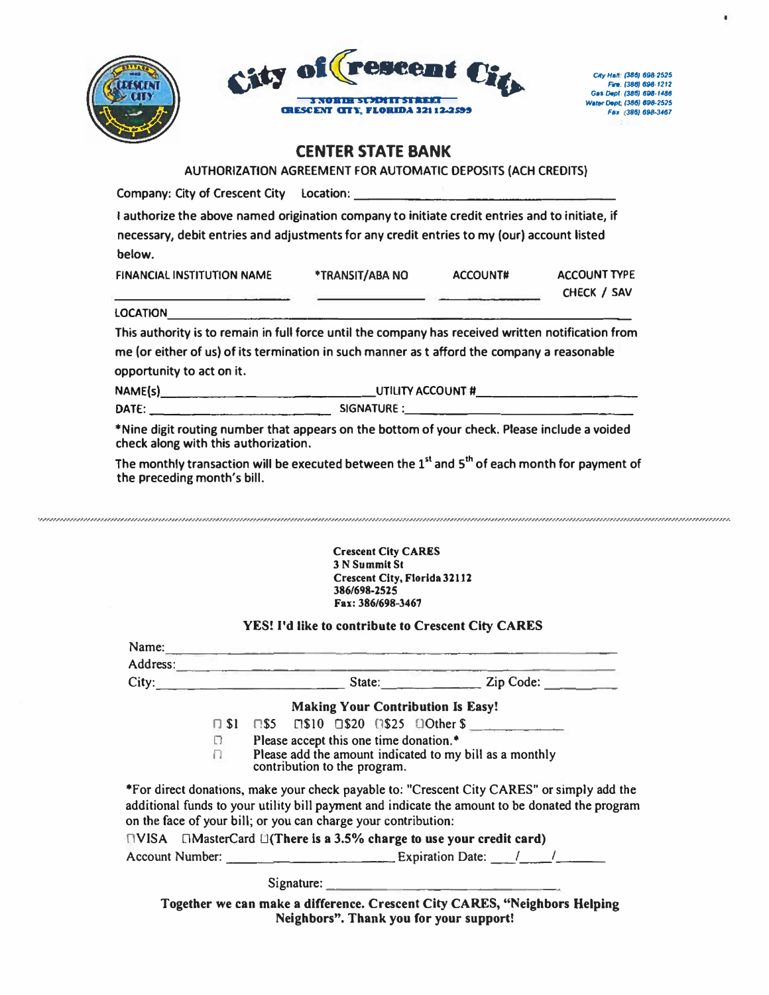



City Hall: (386) 698-2525<br>Fire: (386) 698-1212<br>Ges Dept (386) 698-1486 Water Dept: (386) 898-2525 Fax (386) 698-3467  $\bullet$ 

# **CENTER STATE BANK**

AUTHORIZATION AGREEMENT FOR AUTOMATIC DEPOSITS (ACH CREDITS)

|                           |                                                                | I authorize the above named origination company to initiate credit entries and to initiate, if<br>necessary, debit entries and adjustments for any credit entries to my (our) account listed                                                                                        |  |                                    |
|---------------------------|----------------------------------------------------------------|-------------------------------------------------------------------------------------------------------------------------------------------------------------------------------------------------------------------------------------------------------------------------------------|--|------------------------------------|
| below.                    |                                                                |                                                                                                                                                                                                                                                                                     |  |                                    |
|                           |                                                                | FINANCIAL INSTITUTION NAME *TRANSIT/ABA NO ACCOUNT#<br><u> 1990 - Jan Barnett, president et al. Indiana de la pre</u>                                                                                                                                                               |  | <b>ACCOUNT TYPE</b><br>CHECK / SAV |
|                           |                                                                |                                                                                                                                                                                                                                                                                     |  |                                    |
|                           |                                                                | This authority is to remain in full force until the company has received written notification from                                                                                                                                                                                  |  |                                    |
|                           |                                                                | me (or either of us) of its termination in such manner as t afford the company a reasonable                                                                                                                                                                                         |  |                                    |
| opportunity to act on it. |                                                                |                                                                                                                                                                                                                                                                                     |  |                                    |
|                           |                                                                |                                                                                                                                                                                                                                                                                     |  |                                    |
|                           |                                                                |                                                                                                                                                                                                                                                                                     |  |                                    |
|                           | check along with this authorization.                           | *Nine digit routing number that appears on the bottom of your check. Please include a voided                                                                                                                                                                                        |  |                                    |
|                           | the preceding month's bill.                                    | The monthly transaction will be executed between the 1 <sup>st</sup> and 5 <sup>th</sup> of each month for payment of                                                                                                                                                               |  |                                    |
|                           |                                                                | YES! I'd like to contribute to Crescent City CARES<br>Name: Name: Name: Name: Name: Name: Name: Name: Name: Name: Name: Name: Name: Name: Name: Name: Name: Name: Name: Name: Name: Name: Name: Name: Name: Name: Name: Name: Name: Name: Name: Name: Name: Name: Name: Name: Name: |  |                                    |
|                           |                                                                | Address: and the contract of the contract of the contract of the contract of the contract of the contract of the contract of the contract of the contract of the contract of the contract of the contract of the contract of t<br>City: City: State: Zip Code:                      |  |                                    |
|                           |                                                                |                                                                                                                                                                                                                                                                                     |  |                                    |
|                           |                                                                | <b>Making Your Contribution Is Easy!</b><br>□ \$1 □ \$5 □ \$10 □ \$20 □ \$25 □ Other \$                                                                                                                                                                                             |  |                                    |
|                           | $\Box$                                                         | Please accept this one time donation. <sup>*</sup>                                                                                                                                                                                                                                  |  |                                    |
|                           | n.                                                             | Please add the amount indicated to my bill as a monthly<br>contribution to the program.                                                                                                                                                                                             |  |                                    |
|                           |                                                                | *For direct donations, make your check payable to: "Crescent City CARES" or simply add the<br>additional funds to your utility bill payment and indicate the amount to be donated the program                                                                                       |  |                                    |
|                           |                                                                |                                                                                                                                                                                                                                                                                     |  |                                    |
|                           | on the face of your bill; or you can charge your contribution: | $\Box$ VISA $\Box$ MasterCard $\Box$ (There is a 3.5% charge to use your credit card)                                                                                                                                                                                               |  |                                    |
|                           |                                                                |                                                                                                                                                                                                                                                                                     |  |                                    |